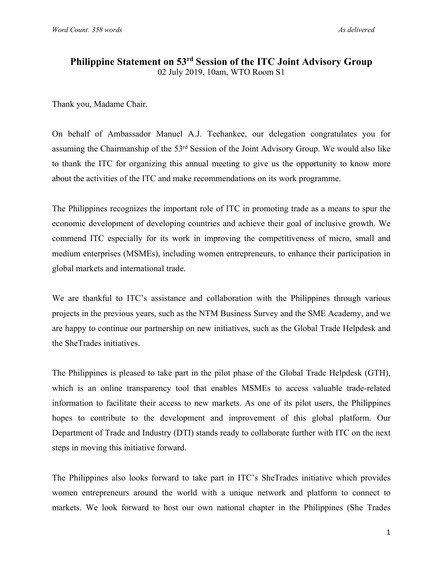## **Philippine Statement on 53rd Session of the ITC Joint Advisory Group** 02 July 2019, 10am, WTO Room S1

Thank you, Madame Chair.

On behalf of Ambassador Manuel A.J. Teehankee, our delegation congratulates you for assuming the Chairmanship of the 53rd Session of the Joint Advisory Group. We would also like to thank the ITC for organizing this annual meeting to give us the opportunity to know more about the activities of the ITC and make recommendations on its work programme.

The Philippines recognizes the important role of ITC in promoting trade as a means to spur the economic development of developing countries and achieve their goal of inclusive growth. We commend ITC especially for its work in improving the competitiveness of micro, small and medium enterprises (MSMEs), including women entrepreneurs, to enhance their participation in global markets and international trade.

We are thankful to ITC's assistance and collaboration with the Philippines through various projects in the previous years, such as the NTM Business Survey and the SME Academy, and we are happy to continue our partnership on new initiatives, such as the Global Trade Helpdesk and the SheTrades initiatives.

The Philippines is pleased to take part in the pilot phase of the Global Trade Helpdesk (GTH), which is an online transparency tool that enables MSMEs to access valuable trade-related information to facilitate their access to new markets. As one of its pilot users, the Philippines hopes to contribute to the development and improvement of this global platform. Our Department of Trade and Industry (DTI) stands ready to collaborate further with ITC on the next steps in moving this initiative forward.

The Philippines also looks forward to take part in ITC's SheTrades initiative which provides women entrepreneurs around the world with a unique network and platform to connect to markets. We look forward to host our own national chapter in the Philippines (She Trades